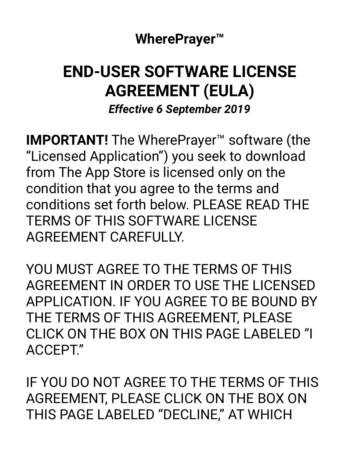**WherePrayer™** 

# **END-USER SOFTWARE LICENSE AGREEMENT (EULA)**

*Effective 6 September 2019* 

**IMPORTANT!** The WherePrayer™ software (the "Licensed Application") you seek to download from The App Store is licensed only on the condition that you agree to the terms and conditions set forth below. PLEASE READ THE TERMS OF THIS SOFTWARE LICENSE AGREEMENT CAREFULLY.

YOU MUST AGREE TO THE TERMS OF THIS AGREEMENT IN ORDER TO USE THE LICENSED APPLICATION. IF YOU AGREE TO BE BOUND BY THE TERMS OF THIS AGREEMENT, PLEASE CLICK ON THE BOX ON THIS PAGE LABELED "I ACCEPT."

IF YOU DO NOT AGREE TO THE TERMS OF THIS AGREEMENT, PLEASE CLICK ON THE BOX ON THIS PAGE LABELED "DECLINE," AT WHICH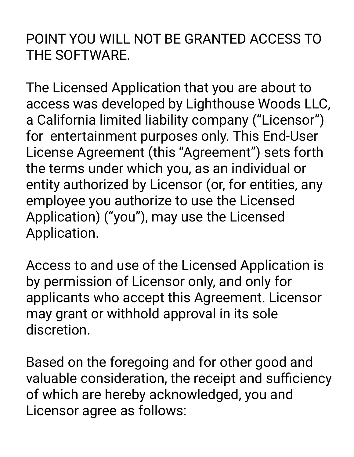### POINT YOU WILL NOT BE GRANTED ACCESS TO THE SOFTWARE.

The Licensed Application that you are about to access was developed by Lighthouse Woods LLC, a California limited liability company ("Licensor") for entertainment purposes only. This End-User License Agreement (this "Agreement") sets forth the terms under which you, as an individual or entity authorized by Licensor (or, for entities, any employee you authorize to use the Licensed Application) ("you"), may use the Licensed Application.

Access to and use of the Licensed Application is by permission of Licensor only, and only for applicants who accept this Agreement. Licensor may grant or withhold approval in its sole discretion.

Based on the foregoing and for other good and valuable consideration, the receipt and sufficiency of which are hereby acknowledged, you and Licensor agree as follows: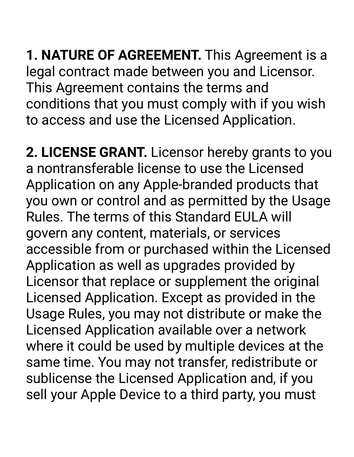**1. NATURE OF AGREEMENT.** This Agreement is a legal contract made between you and Licensor. This Agreement contains the terms and conditions that you must comply with if you wish to access and use the Licensed Application.

**2. LICENSE GRANT.** Licensor hereby grants to you a nontransferable license to use the Licensed Application on any Apple-branded products that you own or control and as permitted by the Usage Rules. The terms of this Standard EULA will govern any content, materials, or services accessible from or purchased within the Licensed Application as well as upgrades provided by Licensor that replace or supplement the original Licensed Application. Except as provided in the Usage Rules, you may not distribute or make the Licensed Application available over a network where it could be used by multiple devices at the same time. You may not transfer, redistribute or sublicense the Licensed Application and, if you sell your Apple Device to a third party, you must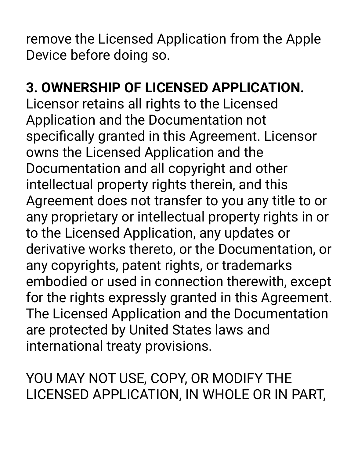remove the Licensed Application from the Apple Device before doing so.

## **3. OWNERSHIP OF LICENSED APPLICATION.**

Licensor retains all rights to the Licensed Application and the Documentation not specifically granted in this Agreement. Licensor owns the Licensed Application and the Documentation and all copyright and other intellectual property rights therein, and this Agreement does not transfer to you any title to or any proprietary or intellectual property rights in or to the Licensed Application, any updates or derivative works thereto, or the Documentation, or any copyrights, patent rights, or trademarks embodied or used in connection therewith, except for the rights expressly granted in this Agreement. The Licensed Application and the Documentation are protected by United States laws and international treaty provisions.

YOU MAY NOT USE, COPY, OR MODIFY THE LICENSED APPLICATION, IN WHOLE OR IN PART,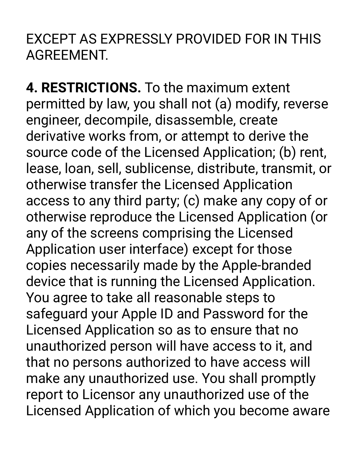EXCEPT AS EXPRESSLY PROVIDED FOR IN THIS AGREEMENT.

**4. RESTRICTIONS.** To the maximum extent permitted by law, you shall not (a) modify, reverse engineer, decompile, disassemble, create derivative works from, or attempt to derive the source code of the Licensed Application; (b) rent, lease, loan, sell, sublicense, distribute, transmit, or otherwise transfer the Licensed Application access to any third party; (c) make any copy of or otherwise reproduce the Licensed Application (or any of the screens comprising the Licensed Application user interface) except for those copies necessarily made by the Apple-branded device that is running the Licensed Application. You agree to take all reasonable steps to safeguard your Apple ID and Password for the Licensed Application so as to ensure that no unauthorized person will have access to it, and that no persons authorized to have access will make any unauthorized use. You shall promptly report to Licensor any unauthorized use of the Licensed Application of which you become aware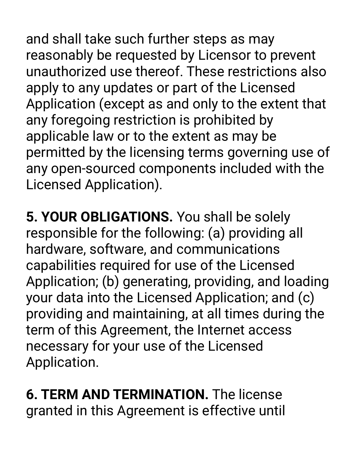and shall take such further steps as may reasonably be requested by Licensor to prevent unauthorized use thereof. These restrictions also apply to any updates or part of the Licensed Application (except as and only to the extent that any foregoing restriction is prohibited by applicable law or to the extent as may be permitted by the licensing terms governing use of any open-sourced components included with the Licensed Application).

**5. YOUR OBLIGATIONS.** You shall be solely responsible for the following: (a) providing all hardware, software, and communications capabilities required for use of the Licensed Application; (b) generating, providing, and loading your data into the Licensed Application; and (c) providing and maintaining, at all times during the term of this Agreement, the Internet access necessary for your use of the Licensed Application.

**6. TERM AND TERMINATION.** The license granted in this Agreement is effective until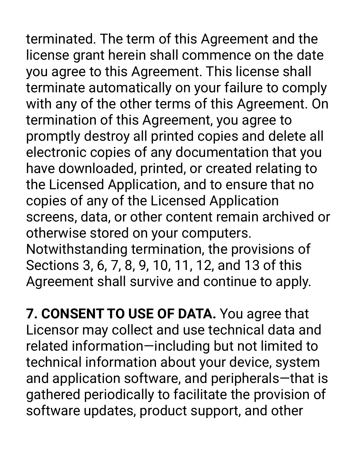terminated. The term of this Agreement and the license grant herein shall commence on the date you agree to this Agreement. This license shall terminate automatically on your failure to comply with any of the other terms of this Agreement. On termination of this Agreement, you agree to promptly destroy all printed copies and delete all electronic copies of any documentation that you have downloaded, printed, or created relating to the Licensed Application, and to ensure that no copies of any of the Licensed Application screens, data, or other content remain archived or otherwise stored on your computers.

Notwithstanding termination, the provisions of Sections 3, 6, 7, 8, 9, 10, 11, 12, and 13 of this Agreement shall survive and continue to apply.

**7. CONSENT TO USE OF DATA.** You agree that Licensor may collect and use technical data and related information—including but not limited to technical information about your device, system and application software, and peripherals—that is gathered periodically to facilitate the provision of software updates, product support, and other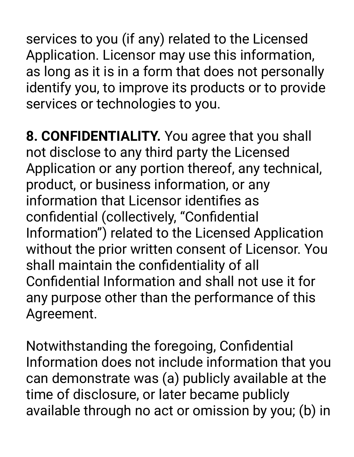services to you (if any) related to the Licensed Application. Licensor may use this information, as long as it is in a form that does not personally identify you, to improve its products or to provide services or technologies to you.

**8. CONFIDENTIALITY.** You agree that you shall not disclose to any third party the Licensed Application or any portion thereof, any technical, product, or business information, or any information that Licensor identifies as confidential (collectively, "Confidential Information") related to the Licensed Application without the prior written consent of Licensor. You shall maintain the confidentiality of all Confidential Information and shall not use it for any purpose other than the performance of this Agreement.

Notwithstanding the foregoing, Confidential Information does not include information that you can demonstrate was (a) publicly available at the time of disclosure, or later became publicly available through no act or omission by you; (b) in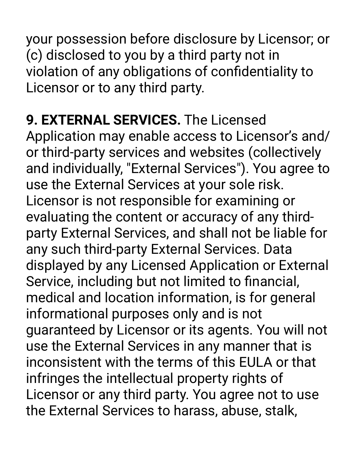your possession before disclosure by Licensor; or (c) disclosed to you by a third party not in violation of any obligations of confidentiality to Licensor or to any third party.

**9. EXTERNAL SERVICES.** The Licensed Application may enable access to Licensor's and/ or third-party services and websites (collectively and individually, "External Services"). You agree to use the External Services at your sole risk. Licensor is not responsible for examining or evaluating the content or accuracy of any thirdparty External Services, and shall not be liable for any such third-party External Services. Data displayed by any Licensed Application or External Service, including but not limited to financial, medical and location information, is for general informational purposes only and is not guaranteed by Licensor or its agents. You will not use the External Services in any manner that is inconsistent with the terms of this EULA or that infringes the intellectual property rights of Licensor or any third party. You agree not to use the External Services to harass, abuse, stalk,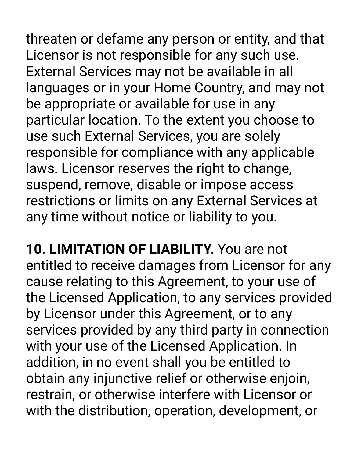threaten or defame any person or entity, and that Licensor is not responsible for any such use. External Services may not be available in all languages or in your Home Country, and may not be appropriate or available for use in any particular location. To the extent you choose to use such External Services, you are solely responsible for compliance with any applicable laws. Licensor reserves the right to change, suspend, remove, disable or impose access restrictions or limits on any External Services at any time without notice or liability to you.

**10. LIMITATION OF LIABILITY.** You are not entitled to receive damages from Licensor for any cause relating to this Agreement, to your use of the Licensed Application, to any services provided by Licensor under this Agreement, or to any services provided by any third party in connection with your use of the Licensed Application. In addition, in no event shall you be entitled to obtain any injunctive relief or otherwise enjoin, restrain, or otherwise interfere with Licensor or with the distribution, operation, development, or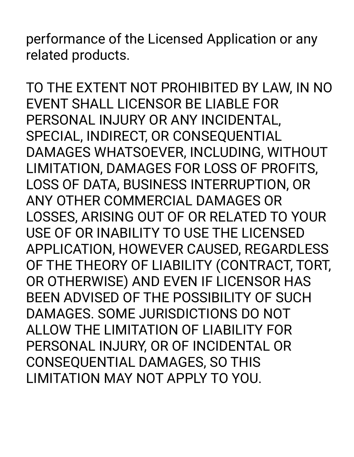performance of the Licensed Application or any related products.

TO THE EXTENT NOT PROHIBITED BY LAW, IN NO EVENT SHALL LICENSOR BE LIABLE FOR PERSONAL INJURY OR ANY INCIDENTAL, SPECIAL, INDIRECT, OR CONSEQUENTIAL DAMAGES WHATSOEVER, INCLUDING, WITHOUT LIMITATION, DAMAGES FOR LOSS OF PROFITS, LOSS OF DATA, BUSINESS INTERRUPTION, OR ANY OTHER COMMERCIAL DAMAGES OR LOSSES, ARISING OUT OF OR RELATED TO YOUR USE OF OR INABILITY TO USE THE LICENSED APPLICATION, HOWEVER CAUSED, REGARDLESS OF THE THEORY OF LIABILITY (CONTRACT, TORT, OR OTHERWISE) AND EVEN IF LICENSOR HAS BEEN ADVISED OF THE POSSIBILITY OF SUCH DAMAGES. SOME JURISDICTIONS DO NOT ALLOW THE LIMITATION OF LIABILITY FOR PERSONAL INJURY, OR OF INCIDENTAL OR CONSEQUENTIAL DAMAGES, SO THIS LIMITATION MAY NOT APPLY TO YOU.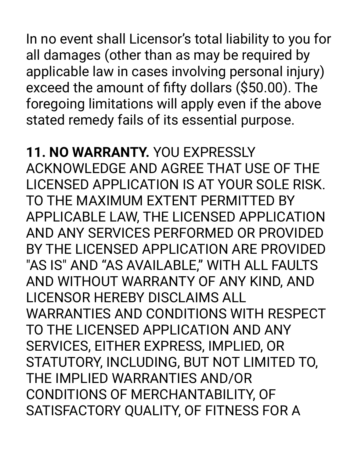In no event shall Licensor's total liability to you for all damages (other than as may be required by applicable law in cases involving personal injury) exceed the amount of fifty dollars (\$50.00). The foregoing limitations will apply even if the above stated remedy fails of its essential purpose.

### **11. NO WARRANTY.** YOU EXPRESSLY

ACKNOWLEDGE AND AGREE THAT USE OF THE LICENSED APPLICATION IS AT YOUR SOLE RISK. TO THE MAXIMUM EXTENT PERMITTED BY APPLICABLE LAW, THE LICENSED APPLICATION AND ANY SERVICES PERFORMED OR PROVIDED BY THE LICENSED APPLICATION ARE PROVIDED "AS IS" AND "AS AVAILABLE," WITH ALL FAULTS AND WITHOUT WARRANTY OF ANY KIND, AND LICENSOR HEREBY DISCLAIMS ALL WARRANTIES AND CONDITIONS WITH RESPECT TO THE LICENSED APPLICATION AND ANY SERVICES, EITHER EXPRESS, IMPLIED, OR STATUTORY, INCLUDING, BUT NOT LIMITED TO, THE IMPLIED WARRANTIES AND/OR CONDITIONS OF MERCHANTABILITY, OF SATISFACTORY QUALITY, OF FITNESS FOR A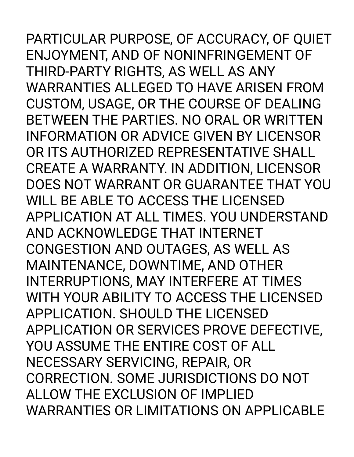PARTICULAR PURPOSE, OF ACCURACY, OF QUIET ENJOYMENT, AND OF NONINFRINGEMENT OF THIRD-PARTY RIGHTS, AS WELL AS ANY WARRANTIES ALLEGED TO HAVE ARISEN FROM CUSTOM, USAGE, OR THE COURSE OF DEALING BETWEEN THE PARTIES. NO ORAL OR WRITTEN INFORMATION OR ADVICE GIVEN BY LICENSOR OR ITS AUTHORIZED REPRESENTATIVE SHALL CREATE A WARRANTY. IN ADDITION, LICENSOR DOES NOT WARRANT OR GUARANTEE THAT YOU WILL BE ABLE TO ACCESS THE LICENSED APPLICATION AT ALL TIMES. YOU UNDERSTAND AND ACKNOWLEDGE THAT INTERNET CONGESTION AND OUTAGES, AS WELL AS MAINTENANCE, DOWNTIME, AND OTHER INTERRUPTIONS, MAY INTERFERE AT TIMES WITH YOUR ABILITY TO ACCESS THE LICENSED APPLICATION. SHOULD THE LICENSED APPLICATION OR SERVICES PROVE DEFECTIVE, YOU ASSUME THE ENTIRE COST OF ALL NECESSARY SERVICING, REPAIR, OR CORRECTION. SOME JURISDICTIONS DO NOT ALLOW THE EXCLUSION OF IMPLIED WARRANTIES OR LIMITATIONS ON APPLICABLE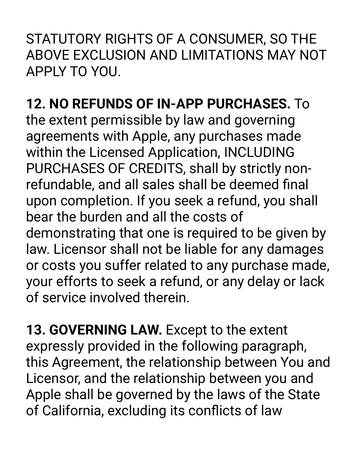STATUTORY RIGHTS OF A CONSUMER, SO THE ABOVE EXCLUSION AND LIMITATIONS MAY NOT APPLY TO YOU.

**12. NO REFUNDS OF IN-APP PURCHASES.** To the extent permissible by law and governing agreements with Apple, any purchases made within the Licensed Application, INCLUDING PURCHASES OF CREDITS, shall by strictly nonrefundable, and all sales shall be deemed final upon completion. If you seek a refund, you shall bear the burden and all the costs of demonstrating that one is required to be given by law. Licensor shall not be liable for any damages or costs you suffer related to any purchase made, your efforts to seek a refund, or any delay or lack of service involved therein.

**13. GOVERNING LAW.** Except to the extent expressly provided in the following paragraph, this Agreement, the relationship between You and Licensor, and the relationship between you and Apple shall be governed by the laws of the State of California, excluding its conflicts of law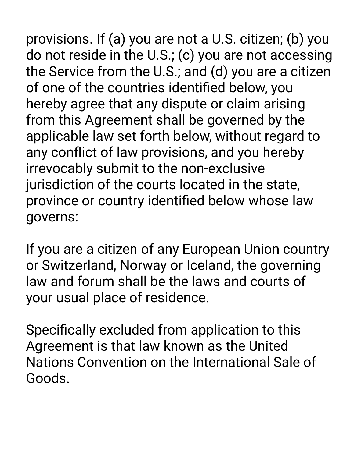provisions. If (a) you are not a U.S. citizen; (b) you do not reside in the U.S.; (c) you are not accessing the Service from the U.S.; and (d) you are a citizen of one of the countries identified below, you hereby agree that any dispute or claim arising from this Agreement shall be governed by the applicable law set forth below, without regard to any conflict of law provisions, and you hereby irrevocably submit to the non-exclusive jurisdiction of the courts located in the state, province or country identified below whose law governs:

If you are a citizen of any European Union country or Switzerland, Norway or Iceland, the governing law and forum shall be the laws and courts of your usual place of residence.

Specifically excluded from application to this Agreement is that law known as the United Nations Convention on the International Sale of Goods.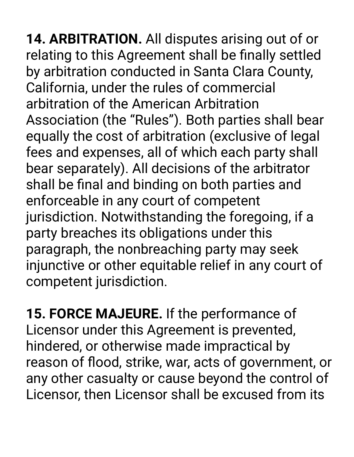**14. ARBITRATION.** All disputes arising out of or relating to this Agreement shall be finally settled by arbitration conducted in Santa Clara County, California, under the rules of commercial arbitration of the American Arbitration Association (the "Rules"). Both parties shall bear equally the cost of arbitration (exclusive of legal fees and expenses, all of which each party shall bear separately). All decisions of the arbitrator shall be final and binding on both parties and enforceable in any court of competent jurisdiction. Notwithstanding the foregoing, if a party breaches its obligations under this paragraph, the nonbreaching party may seek injunctive or other equitable relief in any court of competent jurisdiction.

**15. FORCE MAJEURE.** If the performance of Licensor under this Agreement is prevented, hindered, or otherwise made impractical by reason of flood, strike, war, acts of government, or any other casualty or cause beyond the control of Licensor, then Licensor shall be excused from its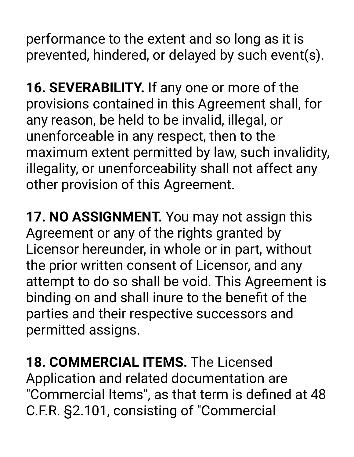performance to the extent and so long as it is prevented, hindered, or delayed by such event(s).

**16. SEVERABILITY.** If any one or more of the provisions contained in this Agreement shall, for any reason, be held to be invalid, illegal, or unenforceable in any respect, then to the maximum extent permitted by law, such invalidity, illegality, or unenforceability shall not affect any other provision of this Agreement.

**17. NO ASSIGNMENT.** You may not assign this Agreement or any of the rights granted by Licensor hereunder, in whole or in part, without the prior written consent of Licensor, and any attempt to do so shall be void. This Agreement is binding on and shall inure to the benefit of the parties and their respective successors and permitted assigns.

**18. COMMERCIAL ITEMS.** The Licensed Application and related documentation are "Commercial Items", as that term is defined at 48 C.F.R. §2.101, consisting of "Commercial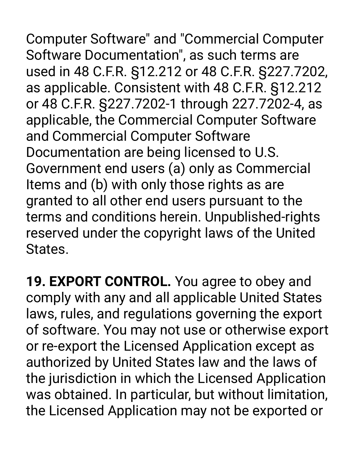Computer Software" and "Commercial Computer Software Documentation", as such terms are used in 48 C.F.R. §12.212 or 48 C.F.R. §227.7202, as applicable. Consistent with 48 C.F.R. §12.212 or 48 C.F.R. §227.7202-1 through 227.7202-4, as applicable, the Commercial Computer Software and Commercial Computer Software Documentation are being licensed to U.S. Government end users (a) only as Commercial Items and (b) with only those rights as are granted to all other end users pursuant to the terms and conditions herein. Unpublished-rights reserved under the copyright laws of the United States.

**19. EXPORT CONTROL.** You agree to obey and comply with any and all applicable United States laws, rules, and regulations governing the export of software. You may not use or otherwise export or re-export the Licensed Application except as authorized by United States law and the laws of the jurisdiction in which the Licensed Application was obtained. In particular, but without limitation, the Licensed Application may not be exported or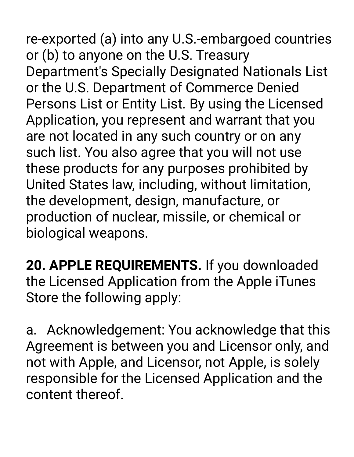re-exported (a) into any U.S.-embargoed countries or (b) to anyone on the U.S. Treasury Department's Specially Designated Nationals List or the U.S. Department of Commerce Denied Persons List or Entity List. By using the Licensed Application, you represent and warrant that you are not located in any such country or on any such list. You also agree that you will not use these products for any purposes prohibited by United States law, including, without limitation, the development, design, manufacture, or production of nuclear, missile, or chemical or biological weapons.

**20. APPLE REQUIREMENTS.** If you downloaded the Licensed Application from the Apple iTunes Store the following apply:

a. Acknowledgement: You acknowledge that this Agreement is between you and Licensor only, and not with Apple, and Licensor, not Apple, is solely responsible for the Licensed Application and the content thereof.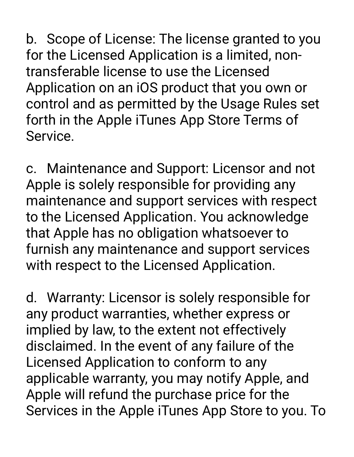b. Scope of License: The license granted to you for the Licensed Application is a limited, nontransferable license to use the Licensed Application on an iOS product that you own or control and as permitted by the Usage Rules set forth in the Apple iTunes App Store Terms of Service.

c. Maintenance and Support: Licensor and not Apple is solely responsible for providing any maintenance and support services with respect to the Licensed Application. You acknowledge that Apple has no obligation whatsoever to furnish any maintenance and support services with respect to the Licensed Application.

d. Warranty: Licensor is solely responsible for any product warranties, whether express or implied by law, to the extent not effectively disclaimed. In the event of any failure of the Licensed Application to conform to any applicable warranty, you may notify Apple, and Apple will refund the purchase price for the Services in the Apple iTunes App Store to you. To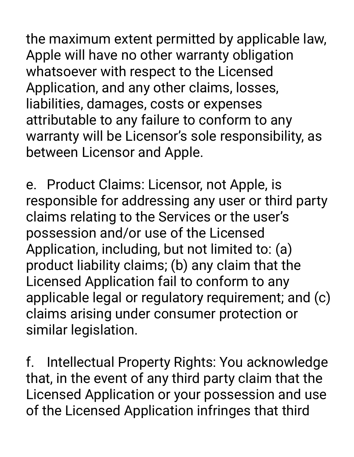the maximum extent permitted by applicable law, Apple will have no other warranty obligation whatsoever with respect to the Licensed Application, and any other claims, losses, liabilities, damages, costs or expenses attributable to any failure to conform to any warranty will be Licensor's sole responsibility, as between Licensor and Apple.

e. Product Claims: Licensor, not Apple, is responsible for addressing any user or third party claims relating to the Services or the user's possession and/or use of the Licensed Application, including, but not limited to: (a) product liability claims; (b) any claim that the Licensed Application fail to conform to any applicable legal or regulatory requirement; and (c) claims arising under consumer protection or similar legislation.

f. Intellectual Property Rights: You acknowledge that, in the event of any third party claim that the Licensed Application or your possession and use of the Licensed Application infringes that third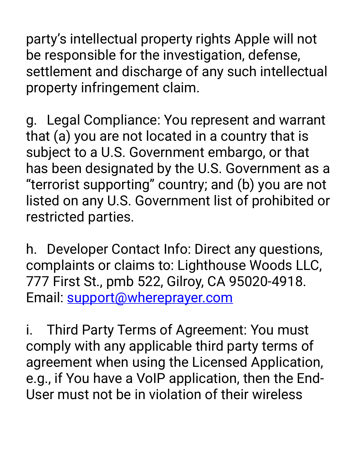party's intellectual property rights Apple will not be responsible for the investigation, defense, settlement and discharge of any such intellectual property infringement claim.

g. Legal Compliance: You represent and warrant that (a) you are not located in a country that is subject to a U.S. Government embargo, or that has been designated by the U.S. Government as a "terrorist supporting" country; and (b) you are not listed on any U.S. Government list of prohibited or restricted parties.

h. Developer Contact Info: Direct any questions, complaints or claims to: Lighthouse Woods LLC, 777 First St., pmb 522, Gilroy, CA 95020-4918. Email: [support@whereprayer.com](mailto:support@whereprayer.com)

i. Third Party Terms of Agreement: You must comply with any applicable third party terms of agreement when using the Licensed Application, e.g., if You have a VoIP application, then the End-User must not be in violation of their wireless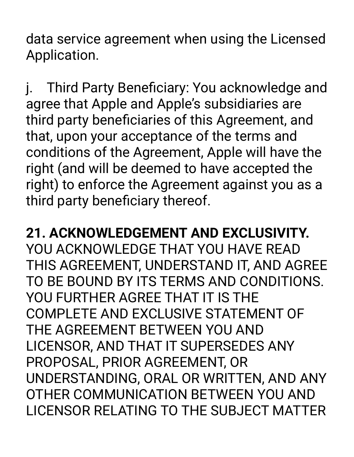data service agreement when using the Licensed Application.

j. Third Party Beneficiary: You acknowledge and agree that Apple and Apple's subsidiaries are third party beneficiaries of this Agreement, and that, upon your acceptance of the terms and conditions of the Agreement, Apple will have the right (and will be deemed to have accepted the right) to enforce the Agreement against you as a third party beneficiary thereof.

### **21. ACKNOWLEDGEMENT AND EXCLUSIVITY.**

YOU ACKNOWLEDGE THAT YOU HAVE READ THIS AGREEMENT, UNDERSTAND IT, AND AGREE TO BE BOUND BY ITS TERMS AND CONDITIONS. YOU FURTHER AGREE THAT IT IS THE COMPLETE AND EXCLUSIVE STATEMENT OF THE AGREEMENT BETWEEN YOU AND LICENSOR, AND THAT IT SUPERSEDES ANY PROPOSAL, PRIOR AGREEMENT, OR UNDERSTANDING, ORAL OR WRITTEN, AND ANY OTHER COMMUNICATION BETWEEN YOU AND LICENSOR RELATING TO THE SUBJECT MATTER